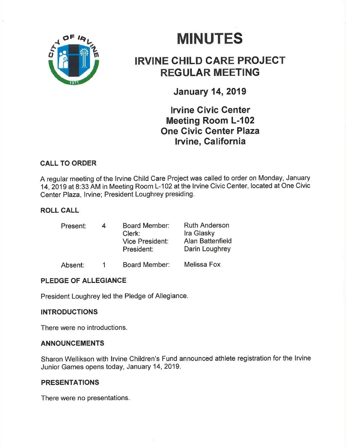

# **MINUTES**

# IRVINE CHILD CARE PROJECT REGULAR MEETING

January 14,2019

# lruine Givic Center Meeting Room L-102 One Civic Genter Plaza Irvine, California

# CALL TO ORDER

A regular meeting of the lrvine Child Care Project was called to order on Monday, January 14,2019 at 8:33 AM in Meeting Room L-102 at the lrvine Civic Center, located at One Civic Center Plaza, lrvine; President Loughrey presiding.

# ROLL CALL

| Present: | 4 | <b>Board Member:</b><br>Clerk:<br><b>Vice President:</b><br>President: | <b>Ruth Anderson</b><br><b>Ira Glasky</b><br><b>Alan Battenfield</b><br>Darin Loughrey |
|----------|---|------------------------------------------------------------------------|----------------------------------------------------------------------------------------|
| Absent:  |   | Board Member:                                                          | Melissa Fox                                                                            |

# PLEDGE OF ALLEGIANCE

President Loughrey led the Pledge of Allegiance.

# INTRODUCTIONS

There were no introductions.

#### ANNOUNCEMENTS

Sharon Wellikson with lrvine Children's Fund announced athlete registration for the lrvine Junior Games opens today, January 14,2019.

#### PRESENTATIONS

There were no presentations.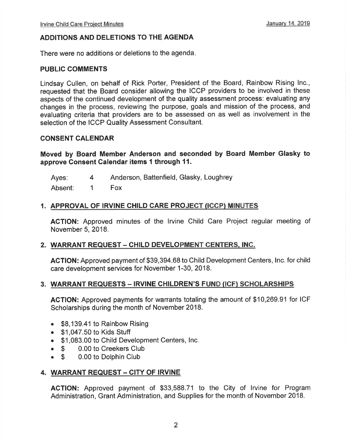# ADDITIONS AND DELETIONS TO THE AGENDA

There were no additions or deletions to the agenda

#### PUBLIC COMMENTS

Lindsay Cullen, on behalf of Rick Porter, President of the Board, Rainbow Rising lnc., requested that the Board consider allowing the ICCP providers to be involved in these aspects of the continued development of the quality assessment process: evaluating any changes in the process, reviewing the purpose, goals and mission of the process, and evaluating criteria that providers are to be assessed on as well as involvement in the selection of the ICCP Quality Assessment Consultant.

#### CONSENT CALENDAR

Moved by Board Member Anderson and seconded by Board Member Glasky to approve Consent Calendar items 1 through 11.

Ayes: 4 Anderson, Battenfield, Glasky, Loughrey

Absent: 1 Fox

#### 1. APPROVAL OF IRVINE CHILD CARE PROJECT (ICGP) MINUTES

AGTION: Approved minutes of the lrvine Child Care Project regular meeting of November 5,2018.

#### 2. WARRANT REQUEST - CHILD DEVELOPMENT CENTERS, INC.

ACTION: Approved payment of \$39,394.68 to Child Development Centers, Inc. for child care development services for November 1-30, 2018.

#### 3. WARRANT REQUESTS - IRVINE CHILDREN'S FUND (ICF) SCHOLARSHIPS

AGTION: Approved payments for warrants totaling the amount of \$10,269.91 for ICF Scholarships during the month of November 2018.

- $\bullet$  \$8,139.41 to Rainbow Rising
- . \$1 ,047.50 to Kids Stuff
- . \$1,083.00 to Child Development Centers, Inc
- **S** 0.00 to Creekers Club<br> **S** 0.00 to Dolphin Club
- 0.00 to Dolphin Club

# 4. WARRANT REQUEST - CITY OF IRVINE

ACTION: Approved payment of \$33,588.71 to the City of lrvine for Program Administration, Grant Administration, and Supplies for the month of November 2018.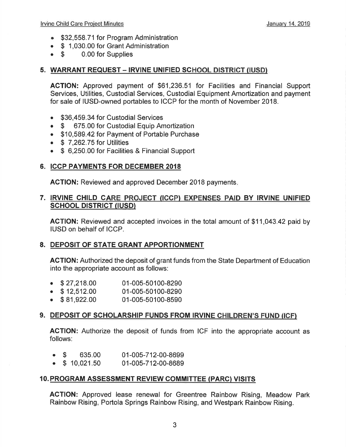- \$32,558.71 for Program Administration
- \$ 1,030.00 for Grant Administration<br>• \$ 0.00 for Supplies
- 0.00 for Supplies

# 5. WARRANT REQUEST - IRVINE UNIFIED SCHOOL DISTRICT (IUSD)

ACTION: Approved payment of \$61 ,236.51 for Facilities and Financial Support Services, Utilities, Custodial Services, Custodial Equipment Amortization and payment for sale of IUSD-owned portables to ICCP for the month of November 2018.

- \$36,459.34 for Custodial Services
- \$ 675.00 for Custodial Equip Amortization
- . \$10,589.42 for Payment of Portable Purchase
- $\bullet$  \$ 7,262.75 for Utilities
- \$ 6,250.00 for Facilities & Financial Support

# 6. ICCP PAYMENTS FOR DECEMBER 2OI8

ACTION: Reviewed and approved December 2018 payments

# 7. IRVINE CHILD CARE PROJECT (ICCP) EXPENSES PAID BY IRVINE UNIFIED SCHOOL DISTRICT (IUSDI

AGTION: Reviewed and accepted invoices in the total amount of \$11,043.42 paid by IUSD on behalf of ICCP.

# 8. DEPOSIT OF STATE GRANT APPORTIONMENT

ACTION: Authorized the deposit of grant funds from the State Department of Education into the appropriate account as follows:

- $\bullet$  \$27,218.00 01-005-50100-8290
- $\bullet$  \$12,512.00 01-005-50100-8290
- $\bullet$  \$81,922.00 01-005-50100-8590

# 9. DEPOSIT OF SCHOLARSHIP FUNDS FROM IRVINE CHILDREN'S FUND (ICF)

AGTION: Authorize the deposit of funds from ICF into the appropriate account as follows:

- $\bullet$  \$ 635.00 01-005-712-00-8699
- $\bullet$  \$ 10,021.50 01-005-712-00-8689

# 10. PROGRAM ASSESSMENT REVIEW COMMITTEE (PARC) VISITS

AGTION: Approved lease renewal for Greentree Rainbow Rising, Meadow Park Rainbow Rising, Portola Springs Rainbow Rising, and Westpark Rainbow Rising.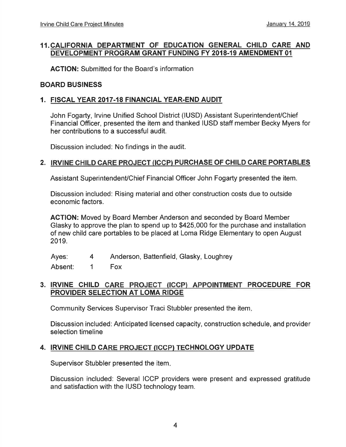# 11. CALIFORNIA DEPARTMENT OF EDUCATION GENERAL CHILD CARE AND DEVELOPMENT PROGRAM GRANT FUNDING FY 20I8.19 AMENDMENT 01

ACTION: Submitted for the Board's information

#### BOARD BUSINESS

# 1. FISCAL YEAR 20I7.18 FINANCIAL YEAR.END AUDIT

John Fogarty, Irvine Unified School District (IUSD) Assistant Superintendent/Chief Financial Officer, presented the item and thanked IUSD staff member Becky Myers for her contributions to a successful audit.

Discussion included: No findings in the audit.

# 2. IRVINE CHILD CARE PROJECT (ICCP) PURCHASE OF CHILD CARE PORTABLES

Assistant Superintendent/Chief Financial Officer John Fogarty presented the item.

Discussion included: Rising material and other construction costs due to outside economic factors.

ACTION: Moved by Board Member Anderson and seconded by Board Member Glasky to approve the plan to spend up to \$425,000 for the purchase and installation of new child care portables to be placed at Loma Ridge Elementary to open August 2019.

Ayes: 4 Anderson, Battenfield, Glasky, Loughrey

Absent: 1 Fox

# 3. IRVINE CHILD CARE PROJECT (ICCP) APPOINTMENT PROCEDURE FOR PROVIDER SELECTION AT LOMA RIDGE

Community Services Supervisor Traci Stubbler presented the item

Discussion included:Anticipated licensed capacity, construction schedule, and provider selection timeline

# 4. IRVINE CHILD CARE PROJECT (ICCP} TECHNOLOGY UPDATE

Supervisor Stubbler presented the item

Discussion included: Several ICCP providers were present and expressed gratitude and satisfaction with the IUSD technology team.